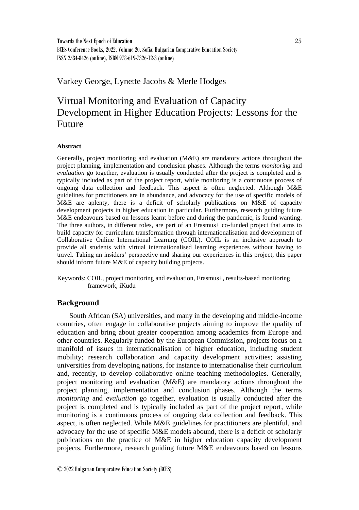# Varkey George, Lynette Jacobs & Merle Hodges

# Virtual Monitoring and Evaluation of Capacity Development in Higher Education Projects: Lessons for the Future

# **Abstract**

Generally, project monitoring and evaluation (M&E) are mandatory actions throughout the project planning, implementation and conclusion phases. Although the terms *monitoring* and *evaluation* go together, evaluation is usually conducted after the project is completed and is typically included as part of the project report, while monitoring is a continuous process of ongoing data collection and feedback. This aspect is often neglected. Although M&E guidelines for practitioners are in abundance, and advocacy for the use of specific models of M&E are aplenty, there is a deficit of scholarly publications on M&E of capacity development projects in higher education in particular. Furthermore, research guiding future M&E endeavours based on lessons learnt before and during the pandemic, is found wanting. The three authors, in different roles, are part of an Erasmus+ co-funded project that aims to build capacity for curriculum transformation through internationalisation and development of Collaborative Online International Learning (COIL). COIL is an inclusive approach to provide all students with virtual internationalised learning experiences without having to travel. Taking an insiders' perspective and sharing our experiences in this project, this paper should inform future M&E of capacity building projects.

Keywords: COIL, project monitoring and evaluation, Erasmus+, results-based monitoring framework, iKudu

# **Background**

South African (SA) universities, and many in the developing and middle-income countries, often engage in collaborative projects aiming to improve the quality of education and bring about greater cooperation among academics from Europe and other countries. Regularly funded by the European Commission, projects focus on a manifold of issues in internationalisation of higher education, including student mobility; research collaboration and capacity development activities; assisting universities from developing nations, for instance to internationalise their curriculum and, recently, to develop collaborative online teaching methodologies. Generally, project monitoring and evaluation (M&E) are mandatory actions throughout the project planning, implementation and conclusion phases. Although the terms *monitoring* and *evaluation* go together, evaluation is usually conducted after the project is completed and is typically included as part of the project report, while monitoring is a continuous process of ongoing data collection and feedback. This aspect, is often neglected. While M&E guidelines for practitioners are plentiful, and advocacy for the use of specific M&E models abound, there is a deficit of scholarly publications on the practice of M&E in higher education capacity development projects. Furthermore, research guiding future M&E endeavours based on lessons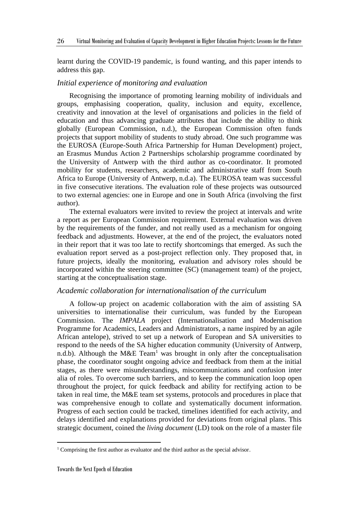learnt during the COVID-19 pandemic, is found wanting, and this paper intends to address this gap.

# *Initial experience of monitoring and evaluation*

Recognising the importance of promoting learning mobility of individuals and groups, emphasising cooperation, quality, inclusion and equity, excellence, creativity and innovation at the level of organisations and policies in the field of education and thus advancing graduate attributes that include the ability to think globally (European Commission, n.d.), the European Commission often funds projects that support mobility of students to study abroad. One such programme was the [EUROSA \(Europe-South Africa Partnership for Human Development\) project,](http://www.ua.ac.be/eurosa) an Erasmus Mundus Action 2 Partnerships scholarship programme coordinated by the University of Antwerp with the third author as co-coordinator. It promoted mobility for students, researchers, academic and administrative staff from South Africa to Europe (University of Antwerp, n.d.a). The EUROSA team was successful in five consecutive iterations. The evaluation role of these projects was outsourced to two external agencies: one in Europe and one in South Africa (involving the first author).

The external evaluators were invited to review the project at intervals and write a report as per European Commission requirement. External evaluation was driven by the requirements of the funder, and not really used as a mechanism for ongoing feedback and adjustments. However, at the end of the project, the evaluators noted in their report that it was too late to rectify shortcomings that emerged. As such the evaluation report served as a post-project reflection only. They proposed that, in future projects, ideally the monitoring, evaluation and advisory roles should be incorporated within the steering committee (SC) (management team) of the project, starting at the conceptualisation stage.

# *Academic collaboration for internationalisation of the curriculum*

A follow-up project on academic collaboration with the aim of assisting SA universities to internationalise their curriculum, was funded by the European Commission. The *IMPALA* project (Internationalisation and Modernisation Programme for Academics, Leaders and Administrators, a name inspired by an agile African antelope), strived to set up a network of European and SA universities to respond to the needs of the SA higher education community (University of Antwerp, n.d.b). Although the M&E Team<sup>1</sup> was brought in only after the conceptualisation phase, the coordinator sought ongoing advice and feedback from them at the initial stages, as there were misunderstandings, miscommunications and confusion inter alia of roles. To overcome such barriers, and to keep the communication loop open throughout the project, for quick feedback and ability for rectifying action to be taken in real time, the M&E team set systems, protocols and procedures in place that was comprehensive enough to collate and systematically document information. Progress of each section could be tracked, timelines identified for each activity, and delays identified and explanations provided for deviations from original plans. This strategic document, coined the *living document* (LD) took on the role of a master file

<sup>&</sup>lt;sup>1</sup> Comprising the first author as evaluator and the third author as the special advisor.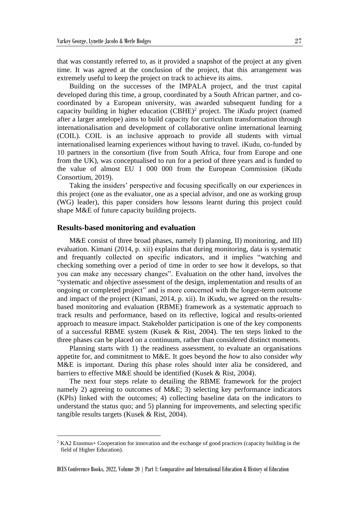that was constantly referred to, as it provided a snapshot of the project at any given time. It was agreed at the conclusion of the project, that this arrangement was extremely useful to keep the project on track to achieve its aims.

Building on the successes of the IMPALA project, and the trust capital developed during this time, a group, coordinated by a South African partner, and cocoordinated by a European university, was awarded subsequent funding for a capacity building in higher education  $(CBHE)^2$  project. The *iKudu* project (named after a larger antelope) aims to build capacity for curriculum transformation through internationalisation and development of collaborative online international learning (COIL). COIL is an inclusive approach to provide all students with virtual internationalised learning experiences without having to travel. iKudu, co-funded by 10 partners in the consortium (five from South Africa, four from Europe and one from the UK), was conceptualised to run for a period of three years and is funded to the value of almost EU 1 000 000 from the European Commission (iKudu Consortium, 2019).

Taking the insiders' perspective and focusing specifically on our experiences in this project (one as the evaluator, one as a special advisor, and one as working group (WG) leader), this paper considers how lessons learnt during this project could shape M&E of future capacity building projects.

# **Results-based monitoring and evaluation**

M&E consist of three broad phases, namely I) planning, II) monitoring, and III) evaluation. Kimani (2014, p. xii) explains that during monitoring, data is systematic and frequantly collected on specific indicators, and it implies "watching and checking something over a period of time in order to see how it develops, so that you can make any necessary changes". Evaluation on the other hand, involves the "systematic and objective assessment of the design, implementation and results of an ongoing or completed project" and is more concerned with the longer-term outcome and impact of the project (Kimani, 2014, p. xii). In iKudu, we agreed on the resultsbased monitoring and evaluation (RBME) framework as a systematic approach to track results and performance, based on its reflective, logical and results-oriented approach to measure impact. Stakeholder participation is one of the key components of a successful RBME system (Kusek & Rist, 2004). The ten steps linked to the three phases can be placed on a continuum, rather than considered distinct moments.

Planning starts with 1) the readiness assessment, to evaluate an organisations appetite for, and commitment to M&E. It goes beyond the *how* to also consider *why* M&E is important. During this phase roles should inter alia be considered, and barriers to effective M&E should be identified (Kusek & Rist, 2004).

The next four steps relate to detailing the RBME framework for the project namely 2) agreeing to outcomes of M&E; 3) selecting key performance indicators (KPIs) linked with the outcomes; 4) collecting baseline data on the indicators to understand the status quo; and 5) planning for improvements, and selecting specific tangible results targets (Kusek & Rist, 2004).

<sup>2</sup> KA2 Erasmus+ Cooperation for innovation and the exchange of good practices (capacity building in the field of Higher Education).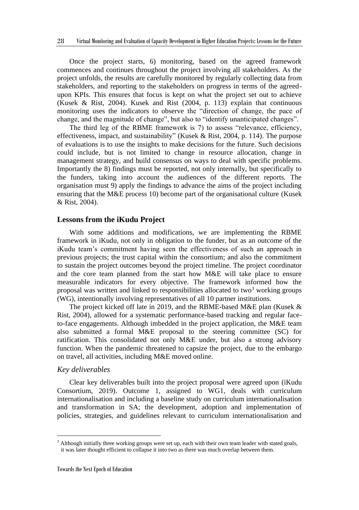Once the project starts, 6) monitoring, based on the agreed framework commences and continues throughout the project involving all stakeholders. As the project unfolds, the results are carefully monitored by regularly collecting data from stakeholders, and reporting to the stakeholders on progress in terms of the agreedupon KPIs. This ensures that focus is kept on what the project set out to achieve (Kusek & Rist, 2004). Kusek and Rist (2004, p. 113) explain that continuous monitoring uses the indicators to observe the "direction of change, the pace of change, and the magnitude of change", but also to "identify unanticipated changes".

The third leg of the RBME framework is 7) to assess "relevance, efficiency, effectiveness, impact, and sustainability" (Kusek & Rist, 2004, p. 114). The purpose of evaluations is to use the insights to make decisions for the future. Such decisions could include, but is not limited to change in resource allocation, change in management strategy, and build consensus on ways to deal with specific problems. Importantly the 8) findings must be reported, not only internally, but specifically to the funders, taking into account the audiences of the different reports. The organisation must 9) apply the findings to advance the aims of the project including ensuring that the M&E process 10) become part of the organisational culture (Kusek & Rist, 2004).

# **Lessons from the iKudu Project**

With some additions and modifications, we are implementing the RBME framework in iKudu, not only in obligation to the funder, but as an outcome of the iKudu team's commitment having seen the effectiveness of such an approach in previous projects; the trust capital within the consortium; and also the commitment to sustain the project outcomes beyond the project timeline. The project coordinator and the core team planned from the start how M&E will take place to ensure measurable indicators for every objective. The framework informed how the proposal was written and linked to responsibilities allocated to two<sup>3</sup> working groups (WG), intentionally involving representatives of all 10 partner institutions.

The project kicked off late in 2019, and the RBME-based M&E plan (Kusek & Rist, 2004), allowed for a systematic performance-based tracking and regular faceto-face engagements. Although imbedded in the project application, the M&E team also submitted a formal M&E proposal to the steering committee (SC) for ratification. This consolidated not only M&E under, but also a strong advisory function. When the pandemic threatened to capsize the project, due to the embargo on travel, all activities, including M&E moved online.

#### *Key deliverables*

Clear key deliverables built into the project proposal were agreed upon (iKudu Consortium, 2019). Outcome 1, assigned to WG1, deals with curriculum internationalisation and including a baseline study on curriculum internationalisation and transformation in SA; the development, adoption and implementation of policies, strategies, and guidelines relevant to curriculum internationalisation and

<sup>&</sup>lt;sup>3</sup> Although initially three working groups were set up, each with their own team leader with stated goals, it was later thought efficient to collapse it into two as there was much overlap between them.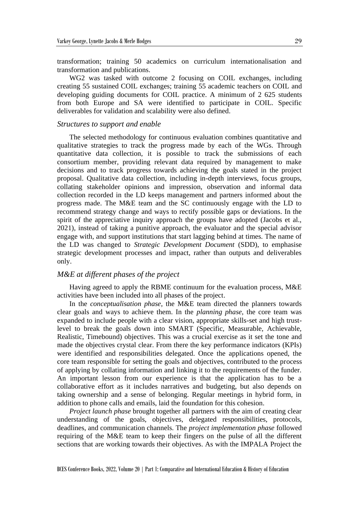transformation; training 50 academics on curriculum internationalisation and transformation and publications.

WG2 was tasked with outcome 2 focusing on COIL exchanges, including creating 55 sustained COIL exchanges; training 55 academic teachers on COIL and developing guiding documents for COIL practice. A minimum of 2 625 students from both Europe and SA were identified to participate in COIL. Specific deliverables for validation and scalability were also defined.

# *Structures to support and enable*

The selected methodology for continuous evaluation combines quantitative and qualitative strategies to track the progress made by each of the WGs. Through quantitative data collection, it is possible to track the submissions of each consortium member, providing relevant data required by management to make decisions and to track progress towards achieving the goals stated in the project proposal. Qualitative data collection, including in-depth interviews, focus groups, collating stakeholder opinions and impression, observation and informal data collection recorded in the LD keeps management and partners informed about the progress made. The M&E team and the SC continuously engage with the LD to recommend strategy change and ways to rectify possible gaps or deviations. In the spirit of the appreciative inquiry approach the groups have adopted (Jacobs et al., 2021), instead of taking a punitive approach, the evaluator and the special advisor engage with, and support institutions that start lagging behind at times. The name of the LD was changed to *Strategic Development Document* (SDD), to emphasise strategic development processes and impact, rather than outputs and deliverables only.

# *M&E at different phases of the project*

Having agreed to apply the RBME continuum for the evaluation process, M&E activities have been included into all phases of the project.

In the *conceptualisation phase*, the M&E team directed the planners towards clear goals and ways to achieve them. In the *planning phase*, the core team was expanded to include people with a clear vision, appropriate skills-set and high trustlevel to break the goals down into SMART (Specific, Measurable, Achievable, Realistic, Timebound) objectives. This was a crucial exercise as it set the tone and made the objectives crystal clear. From there the key performance indicators (KPIs) were identified and responsibilities delegated. Once the applications opened, the core team responsible for setting the goals and objectives, contributed to the process of applying by collating information and linking it to the requirements of the funder. An important lesson from our experience is that the application has to be a collaborative effort as it includes narratives and budgeting, but also depends on taking ownership and a sense of belonging. Regular meetings in hybrid form, in addition to phone calls and emails, laid the foundation for this cohesion.

*Project launch phase* brought together all partners with the aim of creating clear understanding of the goals, objectives, delegated responsibilities, protocols, deadlines, and communication channels. The *project implementation phase* followed requiring of the M&E team to keep their fingers on the pulse of all the different sections that are working towards their objectives. As with the IMPALA Project the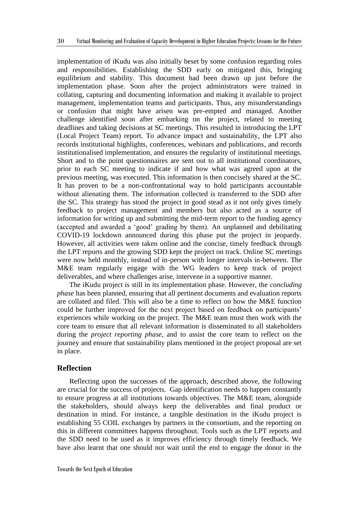implementation of iKudu was also initially beset by some confusion regarding roles and responsibilities. Establishing the SDD early on mitigated this, bringing equilibrium and stability. This document had been drawn up just before the implementation phase. Soon after the project administrators were trained in collating, capturing and documenting information and making it available to project management, implementation teams and participants. Thus, any misunderstandings or confusion that might have arisen was pre-empted and managed. Another challenge identified soon after embarking on the project, related to meeting deadlines and taking decisions at SC meetings. This resulted in introducing the LPT (Local Project Team) report. To advance impact and sustainability, the LPT also records institutional highlights, conferences, webinars and publications, and records institutionalised implementation, and ensures the regularity of institutional meetings. Short and to the point questionnaires are sent out to all institutional coordinators, prior to each SC meeting to indicate if and how what was agreed upon at the previous meeting, was executed. This information is then concisely shared at the SC. It has proven to be a non-confrontational way to hold participants accountable without alienating them. The information collected is transferred to the SDD after the SC. This strategy has stood the project in good stead as it not only gives timely feedback to project management and members but also acted as a source of information for writing up and submitting the mid-term report to the funding agency (accepted and awarded a 'good' grading by them). An unplanned and debilitating COVID-19 lockdown announced during this phase put the project in jeopardy. However, all activities were taken online and the concise, timely feedback through the LPT reports and the growing SDD kept the project on track. Online SC meetings were now held monthly, instead of in-person with longer intervals in-between. The M&E team regularly engage with the WG leaders to keep track of project deliverables, and where challenges arise, intervene in a supportive manner.

The iKudu project is still in its implementation phase. However, the *concluding phase* has been planned, ensuring that all pertinent documents and evaluation reports are collated and filed. This will also be a time to reflect on how the M&E function could be further improved for the next project based on feedback on participants' experiences while working on the project. The M&E team must then work with the core team to ensure that all relevant information is disseminated to all stakeholders during the *project reporting phase*, and to assist the core team to reflect on the journey and ensure that sustainability plans mentioned in the project proposal are set in place.

# **Reflection**

Reflecting upon the successes of the approach, described above, the following are crucial for the success of projects. Gap identification needs to happen constantly to ensure progress at all institutions towards objectives. The M&E team, alongside the stakeholders, should always keep the deliverables and final product or destination in mind. For instance, a tangible destination in the iKudu project is establishing 55 COIL exchanges by partners in the consortium, and the reporting on this in different committees happens throughout. Tools such as the LPT reports and the SDD need to be used as it improves efficiency through timely feedback. We have also learnt that one should not wait until the end to engage the donor in the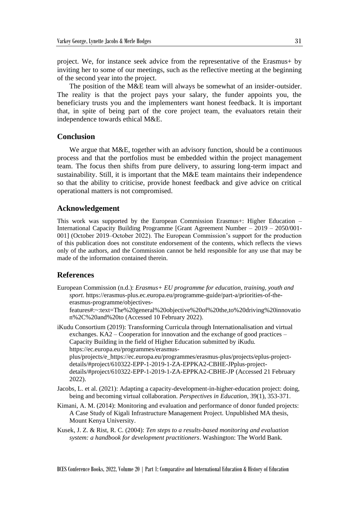project. We, for instance seek advice from the representative of the Erasmus+ by inviting her to some of our meetings, such as the reflective meeting at the beginning of the second year into the project.

The position of the M&E team will always be somewhat of an insider-outsider. The reality is that the project pays your salary, the funder appoints you, the beneficiary trusts you and the implementers want honest feedback. It is important that, in spite of being part of the core project team, the evaluators retain their independence towards ethical M&E.

# **Conclusion**

We argue that M&E, together with an advisory function, should be a continuous process and that the portfolios must be embedded within the project management team. The focus then shifts from pure delivery, to assuring long-term impact and sustainability. Still, it is important that the M&E team maintains their independence so that the ability to criticise, provide honest feedback and give advice on critical operational matters is not compromised.

# **Acknowledgement**

This work was supported by the European Commission Erasmus+: Higher Education – International Capacity Building Programme [Grant Agreement Number – 2019 – 2050/001- 001] (October 2019–October 2022). The European Commission's support for the production of this publication does not constitute endorsement of the contents, which reflects the views only of the authors, and the Commission cannot be held responsible for any use that may be made of the information contained therein.

# **References**

European Commission (n.d.): *Erasmus+ EU programme for education, training, youth and sport*. https://erasmus-plus.ec.europa.eu/programme-guide/part-a/priorities-of-theerasmus-programme/objectives-

features#:~:text=The%20general%20objective%20of%20the,to%20driving%20innovatio n%2C%20and%20to (Accessed 10 February 2022).

iKudu Consortium (2019): Transforming Curricula through Internationalisation and virtual exchanges. KA2 – Cooperation for innovation and the exchange of good practices – Capacity Building in the field of Higher Education submitted by iKudu*.* https://ec.europa.eu/programmes/erasmus-

plus/projects/e\_https://ec.europa.eu/programmes/erasmus-plus/projects/eplus-projectdetails/#project/610322-EPP-1-2019-1-ZA-EPPKA2-CBHE-JPplus-projectdetails/#project/610322-EPP-1-2019-1-ZA-EPPKA2-CBHE-JP (Accessed 21 February 2022).

- Jacobs, L. et al. (2021): Adapting a capacity-development-in-higher-education project: doing, being and becoming virtual collaboration. *Perspectives in Education*, 39(1), 353-371.
- Kimani, A. M. (2014): Monitoring and evaluation and performance of donor funded projects: A Case Study of Kigali Infrastructure Management Project*.* Unpublished MA thesis, Mount Kenya University.
- Kusek, J. Z. & Rist, R. C. (2004): *Ten steps to a results-based monitoring and evaluation system: a handbook for development practitioners*. Washington: The World Bank.